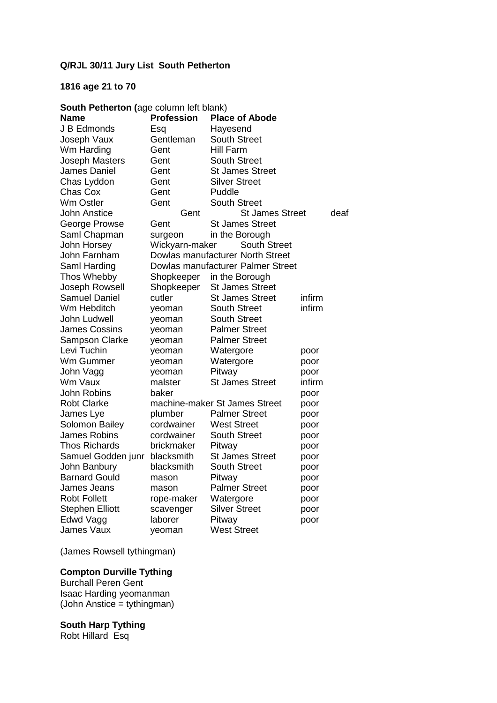# **Q/RJL 30/11 Jury List South Petherton**

# **1816 age 21 to 70**

| South Petherton (age column left blank) |                   |                                   |        |      |
|-----------------------------------------|-------------------|-----------------------------------|--------|------|
| Name                                    | <b>Profession</b> | <b>Place of Abode</b>             |        |      |
| J B Edmonds                             | Esq               | Hayesend                          |        |      |
| Joseph Vaux                             | Gentleman         | <b>South Street</b>               |        |      |
| Wm Harding                              | Gent              | Hill Farm                         |        |      |
| Joseph Masters                          | Gent              | <b>South Street</b>               |        |      |
| <b>James Daniel</b>                     | Gent              | <b>St James Street</b>            |        |      |
| Chas Lyddon                             | Gent              | <b>Silver Street</b>              |        |      |
| Chas Cox                                | Gent              | Puddle                            |        |      |
| <b>Wm Ostler</b>                        | Gent              | <b>South Street</b>               |        |      |
| <b>John Anstice</b>                     | Gent              | <b>St James Street</b>            |        | deaf |
| George Prowse                           | Gent              | <b>St James Street</b>            |        |      |
| Saml Chapman                            | surgeon           | in the Borough                    |        |      |
| John Horsey                             | Wickyarn-maker    | <b>South Street</b>               |        |      |
| John Farnham                            |                   | Dowlas manufacturer North Street  |        |      |
| Saml Harding                            |                   | Dowlas manufacturer Palmer Street |        |      |
| Thos Whebby                             | Shopkeeper        | in the Borough                    |        |      |
| Joseph Rowsell                          | Shopkeeper        | <b>St James Street</b>            |        |      |
| <b>Samuel Daniel</b>                    | cutler            | <b>St James Street</b>            | infirm |      |
| Wm Hebditch                             | yeoman            | <b>South Street</b>               | infirm |      |
| John Ludwell                            | yeoman            | <b>South Street</b>               |        |      |
| <b>James Cossins</b>                    | yeoman            | <b>Palmer Street</b>              |        |      |
| Sampson Clarke                          | yeoman            | <b>Palmer Street</b>              |        |      |
| Levi Tuchin                             | yeoman            | Watergore                         | poor   |      |
| Wm Gummer                               | yeoman            | Watergore                         | poor   |      |
| John Vagg                               | yeoman            | Pitway                            | poor   |      |
| Wm Vaux                                 | malster           | <b>St James Street</b>            | infirm |      |
| <b>John Robins</b>                      | baker             |                                   | poor   |      |
| <b>Robt Clarke</b>                      |                   | machine-maker St James Street     | poor   |      |
| James Lye                               | plumber           | <b>Palmer Street</b>              | poor   |      |
| Solomon Bailey                          | cordwainer        | <b>West Street</b>                | poor   |      |
| <b>James Robins</b>                     | cordwainer        | <b>South Street</b>               | poor   |      |
| <b>Thos Richards</b>                    | brickmaker        | Pitway                            | poor   |      |
| Samuel Godden junr                      | blacksmith        | <b>St James Street</b>            | poor   |      |
| John Banbury                            | blacksmith        | <b>South Street</b>               | poor   |      |
| <b>Barnard Gould</b>                    | mason             | Pitway                            | poor   |      |
| James Jeans                             | mason             | <b>Palmer Street</b>              | poor   |      |
| Robt Follett                            | rope-maker        | Watergore                         | poor   |      |
| <b>Stephen Elliott</b>                  | scavenger         | <b>Silver Street</b>              | poor   |      |
| Edwd Vagg                               | laborer           | Pitway                            | poor   |      |
| <b>James Vaux</b>                       | veoman            | <b>West Street</b>                |        |      |

(James Rowsell tythingman)

# **Compton Durville Tything**

Burchall Peren Gent Isaac Harding yeomanman (John Anstice = tythingman)

#### **South Harp Tything**

Robt Hillard Esq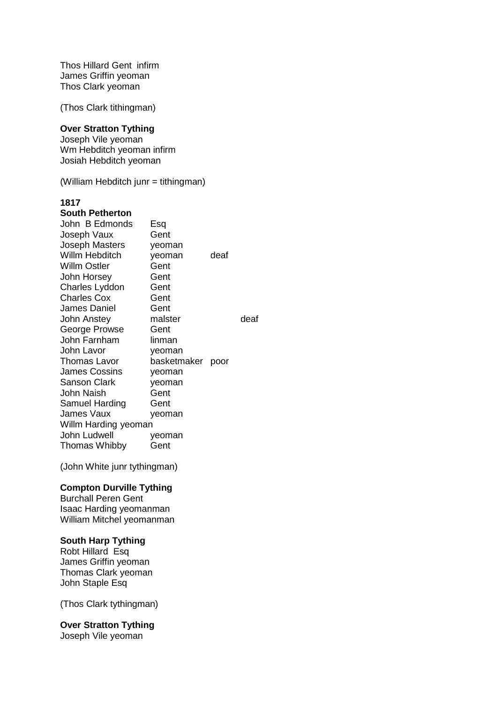Thos Hillard Gent infirm James Griffin yeoman Thos Clark yeoman

(Thos Clark tithingman)

#### **Over Stratton Tything**

Joseph Vile yeoman Wm Hebditch yeoman infirm Josiah Hebditch yeoman

(William Hebditch junr = tithingman)

## **1817**

#### **South Petherton**

| John B Edmonds       | Esq              |      |      |
|----------------------|------------------|------|------|
| Joseph Vaux          | Gent             |      |      |
| Joseph Masters       | yeoman           |      |      |
| Willm Hebditch       | yeoman           | deaf |      |
| Willm Ostler         | Gent             |      |      |
| John Horsey          | Gent             |      |      |
| Charles Lyddon       | Gent             |      |      |
| <b>Charles Cox</b>   | Gent             |      |      |
| James Daniel         | Gent             |      |      |
| John Anstey          | malster          |      | deaf |
| George Prowse        | Gent             |      |      |
| John Farnham         | linman           |      |      |
| John Lavor           | yeoman           |      |      |
| Thomas Lavor         | basketmaker poor |      |      |
| James Cossins        | yeoman           |      |      |
| <b>Sanson Clark</b>  | yeoman           |      |      |
| John Naish           | Gent             |      |      |
| Samuel Harding       | Gent             |      |      |
| James Vaux           | yeoman           |      |      |
| Willm Harding yeoman |                  |      |      |
| John Ludwell         | yeoman           |      |      |
| Thomas Whibby        | Gent             |      |      |
|                      |                  |      |      |

(John White junr tythingman)

#### **Compton Durville Tything**

Burchall Peren Gent Isaac Harding yeomanman William Mitchel yeomanman

#### **South Harp Tything**

Robt Hillard Esq James Griffin yeoman Thomas Clark yeoman John Staple Esq

(Thos Clark tythingman)

### **Over Stratton Tything**

Joseph Vile yeoman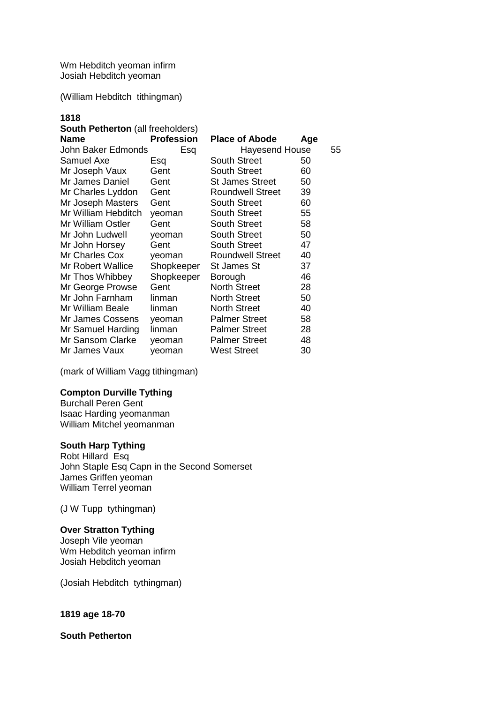Wm Hebditch yeoman infirm Josiah Hebditch yeoman

(William Hebditch tithingman)

# **1818**

| <b>South Petherton</b> (all freeholders) |                         |     |                       |
|------------------------------------------|-------------------------|-----|-----------------------|
| <b>Profession</b>                        | <b>Place of Abode</b>   | Age |                       |
| John Baker Edmonds<br>Esq                |                         |     | 55                    |
| Esq                                      | <b>South Street</b>     | 50  |                       |
| Gent                                     | <b>South Street</b>     | 60  |                       |
| Gent                                     | <b>St James Street</b>  | 50  |                       |
| Gent                                     | <b>Roundwell Street</b> | 39  |                       |
| Gent                                     | <b>South Street</b>     | 60  |                       |
| yeoman                                   | <b>South Street</b>     | 55  |                       |
| Gent                                     | <b>South Street</b>     | 58  |                       |
| yeoman                                   | <b>South Street</b>     | 50  |                       |
| Gent                                     | <b>South Street</b>     | 47  |                       |
| yeoman                                   | <b>Roundwell Street</b> | 40  |                       |
| Shopkeeper                               | St James St             | 37  |                       |
| Shopkeeper                               | Borough                 | 46  |                       |
| Gent                                     | <b>North Street</b>     | 28  |                       |
| linman                                   | <b>North Street</b>     | 50  |                       |
| linman                                   | <b>North Street</b>     | 40  |                       |
| yeoman                                   | <b>Palmer Street</b>    | 58  |                       |
| linman                                   | <b>Palmer Street</b>    | 28  |                       |
| yeoman                                   | <b>Palmer Street</b>    | 48  |                       |
| yeoman                                   | <b>West Street</b>      | 30  |                       |
|                                          |                         |     | <b>Hayesend House</b> |

(mark of William Vagg tithingman)

## **Compton Durville Tything**

Burchall Peren Gent Isaac Harding yeomanman William Mitchel yeomanman

#### **South Harp Tything**

Robt Hillard Esq John Staple Esq Capn in the Second Somerset James Griffen yeoman William Terrel yeoman

(J W Tupp tythingman)

# **Over Stratton Tything**

Joseph Vile yeoman Wm Hebditch yeoman infirm Josiah Hebditch yeoman

(Josiah Hebditch tythingman)

#### **1819 age 18-70**

**South Petherton**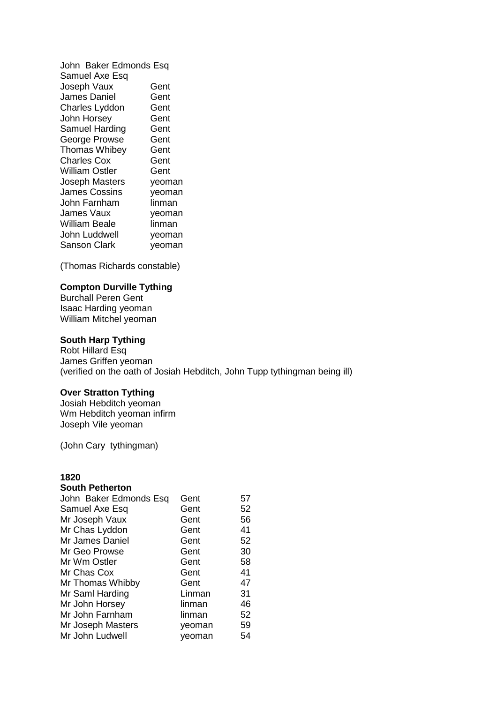John Baker Edmonds Esq Samuel Axe Esq Joseph Vaux Gent<br>James Daniel Gent James Daniel Gent<br>Charles Lyddon Gent Charles Lyddon John Horsey **Gent** Samuel Harding Gent George Prowse Gent Thomas Whibey Gent Charles Cox Gent William Ostler Gent Joseph Masters yeoman James Cossins yeoman John Farnham linman James Vaux yeoman William Beale linman John Luddwell veoman Sanson Clark veoman

(Thomas Richards constable)

#### **Compton Durville Tything**

Burchall Peren Gent Isaac Harding yeoman William Mitchel yeoman

#### **South Harp Tything**

Robt Hillard Esq James Griffen yeoman (verified on the oath of Josiah Hebditch, John Tupp tythingman being ill)

#### **Over Stratton Tything**

Josiah Hebditch yeoman Wm Hebditch yeoman infirm Joseph Vile yeoman

(John Cary tythingman)

# **1820**

#### **South Petherton**

| John Baker Edmonds Esq | Gent   | 57 |
|------------------------|--------|----|
| Samuel Axe Esq         | Gent   | 52 |
| Mr Joseph Vaux         | Gent   | 56 |
| Mr Chas Lyddon         | Gent   | 41 |
| Mr James Daniel        | Gent   | 52 |
| Mr Geo Prowse          | Gent   | 30 |
| Mr Wm Ostler           | Gent   | 58 |
| Mr Chas Cox            | Gent   | 41 |
| Mr Thomas Whibby       | Gent   | 47 |
| Mr Saml Harding        | Linman | 31 |
| Mr John Horsey         | linman | 46 |
| Mr John Farnham        | linman | 52 |
| Mr Joseph Masters      | yeoman | 59 |
| Mr John Ludwell        | yeoman | 54 |